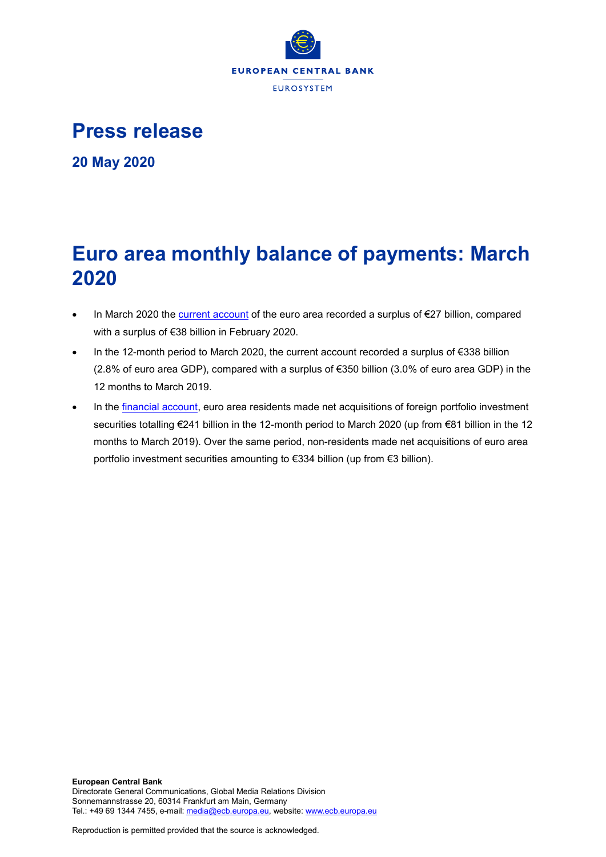

**Press release**

**20 May 2020**

# **Euro area monthly balance of payments: March 2020**

- In March 2020 the [current account](http://sdw.ecb.europa.eu/browseSelection.do?df=true&ec=&dc=&oc=&pb=&rc=&dataSET=0&removeItem=D&removedItemList=&mergeFilter=&activeTab=BP6&showHide=&FREQ.243=M&ADJUSTMENT.243=Y&REF_AREA.243=I8&ACCOUNTING_ENTRY.243=B&INT_ACC_ITEM.243=CA&node=9688874&legendRef=reference) of the euro area recorded a surplus of €27 billion, compared with a surplus of €38 billion in February 2020.
- In the 12-month period to March 2020, the current account recorded a surplus of €338 billion (2.8% of euro area GDP), compared with a surplus of €350 billion (3.0% of euro area GDP) in the 12 months to March 2019.
- In the [financial account,](http://sdw.ecb.europa.eu/browseSelection.do?type=series&q=BP6.M.N.I8.W1.S1.S1.T.N.FA._T.F._Z.EUR._T._X.N+BP6.M.N.I8.W1.S1.S1.T.A.FA.P.F._Z.EUR._T.M.N+BP6.M.N.I8.W1.S1.S1.T.L.FA.P.F._Z.EUR._T.M.N&node=SEARCHRESULTS&ec=&oc=&rc=&cv=&pb=&dc=&df=) euro area residents made net acquisitions of foreign portfolio investment securities totalling €241 billion in the 12-month period to March 2020 (up from €81 billion in the 12 months to March 2019). Over the same period, non-residents made net acquisitions of euro area portfolio investment securities amounting to €334 billion (up from €3 billion).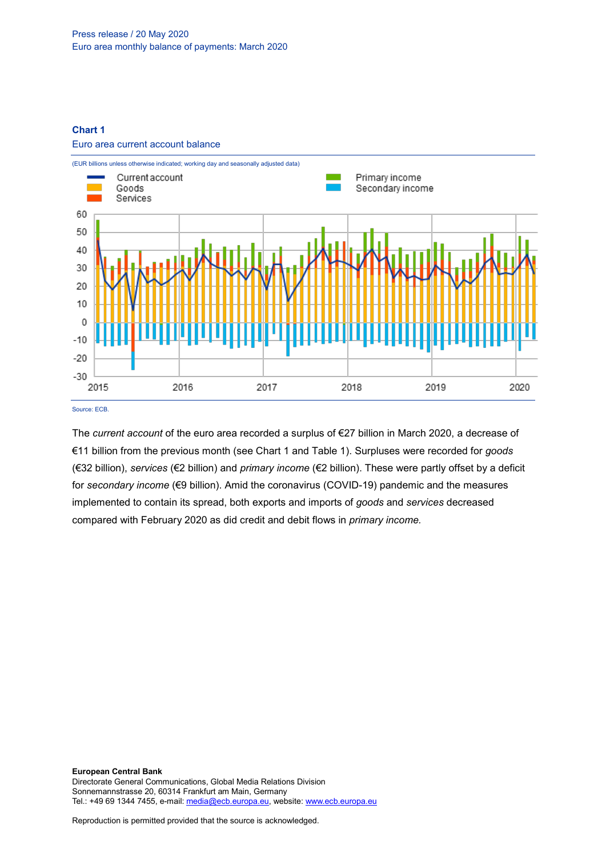## **Chart 1**

#### Euro area current account balance



Source: ECB.

The *current account* of the euro area recorded a surplus of €27 billion in March 2020, a decrease of €11 billion from the previous month (see Chart 1 and Table 1). Surpluses were recorded for *goods* (€32 billion), *services* (€2 billion) and *primary income* (€2 billion). These were partly offset by a deficit for *secondary income* (€9 billion). Amid the coronavirus (COVID-19) pandemic and the measures implemented to contain its spread, both exports and imports of *goods* and *services* decreased compared with February 2020 as did credit and debit flows in *primary income.*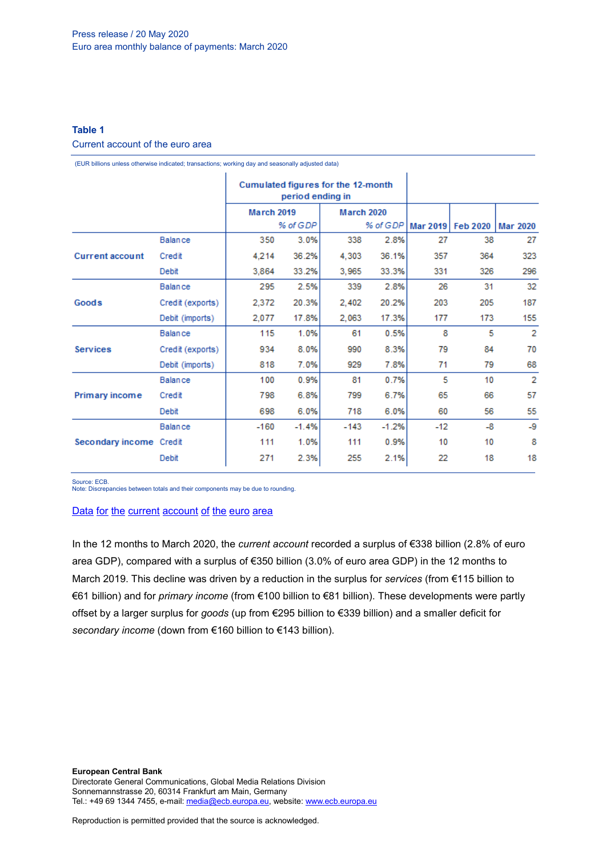## **Table 1**

## Current account of the euro area

(EUR billions unless otherwise indicated; transactions; working day and seasonally adjusted data)

|                         |                  | Cumulated figures for the 12-month<br>period ending in |         |                   |         |       |                     |                 |
|-------------------------|------------------|--------------------------------------------------------|---------|-------------------|---------|-------|---------------------|-----------------|
|                         |                  | <b>March 2019</b>                                      |         | <b>March 2020</b> |         |       |                     |                 |
|                         |                  | % of GDP                                               |         | % of GDP          |         |       | Mar 2019   Feb 2020 | <b>Mar 2020</b> |
| <b>Current account</b>  | <b>Balance</b>   | 350                                                    | 3.0%    | 338               | 2.8%    | 27    | 38                  | 27              |
|                         | Credit           | 4,214                                                  | 36.2%   | 4,303             | 36.1%   | 357   | 364                 | 323             |
|                         | Debit            | 3,864                                                  | 33.2%   | 3,965             | 33.3%   | 331   | 326                 | 296             |
| Goods                   | <b>Balance</b>   | 295                                                    | 2.5%    | 339               | 2.8%    | 26    | 31                  | 32              |
|                         | Credit (exports) | 2,372                                                  | 20.3%   | 2,402             | 20.2%   | 203   | 205                 | 187             |
|                         | Debit (imports)  | 2,077                                                  | 17.8%   | 2,063             | 17.3%   | 177   | 173                 | 155             |
| <b>Services</b>         | <b>Balance</b>   | 115                                                    | 1.0%    | 61                | 0.5%    | 8     | 5                   | 2               |
|                         | Credit (exports) | 934                                                    | 8.0%    | 990               | 8.3%    | 79    | 84                  | 70              |
|                         | Debit (imports)  | 818                                                    | 7.0%    | 929               | 7.8%    | 71    | 79                  | 68              |
| Primary income          | <b>Balance</b>   | 100                                                    | 0.9%    | 81                | 0.7%    | 5     | 10                  | 2               |
|                         | Credit           | 798                                                    | 6.8%    | 799               | 6.7%    | 65    | 66                  | 57              |
|                         | Debit            | 698                                                    | 6.0%    | 718               | 6.0%    | 60    | 56                  | 55              |
| Secondary income Credit | <b>Balance</b>   | $-160$                                                 | $-1.4%$ | $-143$            | $-1.2%$ | $-12$ | $-8$                | -9              |
|                         |                  | 111                                                    | 1.0%    | 111               | 0.9%    | 10    | 10                  | 8               |
|                         | Debit            | 271                                                    | 2.3%    | 255               | 2.1%    | 22    | 18                  | 18              |

Source: ECB.

Note: Discrepancies between totals and their components may be due to rounding.

## Data for the current [account](http://sdw.ecb.europa.eu/browseSelection.do?df=true&ec=&dc=&oc=&pb=&rc=&DATASET=0&removeItem=&removedItemList=&mergeFilter=&activeTab=&showHide=&FREQ.243=M&ADJUSTMENT.243=Y&REF_AREA.243=I8&ACCOUNTING_ENTRY.243=B&ACCOUNTING_ENTRY.243=C&ACCOUNTING_ENTRY.243=D&INT_ACC_ITEM.243=CA&INT_ACC_ITEM.243=G&INT_ACC_ITEM.243=IN1&INT_ACC_ITEM.243=IN2&INT_ACC_ITEM.243=S&node=9688874&legendRef=reference&legendNor=) of the euro area

In the 12 months to March 2020, the *current account* recorded a surplus of €338 billion (2.8% of euro area GDP), compared with a surplus of €350 billion (3.0% of euro area GDP) in the 12 months to March 2019. This decline was driven by a reduction in the surplus for *services* (from €115 billion to €61 billion) and for *primary income* (from €100 billion to €81 billion). These developments were partly offset by a larger surplus for *goods* (up from €295 billion to €339 billion) and a smaller deficit for *secondary income* (down from €160 billion to €143 billion).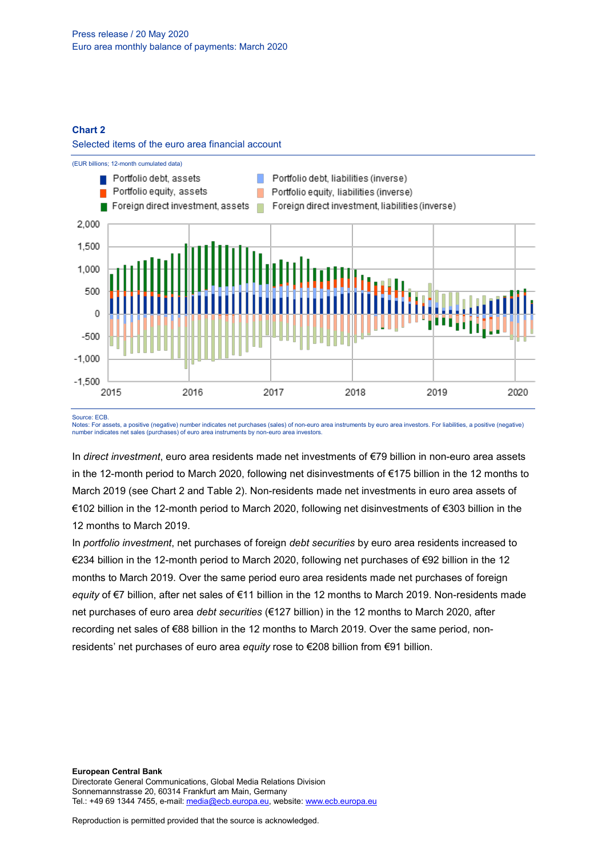### **Chart 2**





#### Source: ECB.

Notes: For assets, a positive (negative) number indicates net purchases (sales) of non-euro area instruments by euro area investors. For liabilities, a positive (negative) number indicates net sales (purchases) of euro area instruments by non-euro area investors.

In *direct investment*, euro area residents made net investments of €79 billion in non-euro area assets in the 12-month period to March 2020, following net disinvestments of €175 billion in the 12 months to March 2019 (see Chart 2 and Table 2). Non-residents made net investments in euro area assets of €102 billion in the 12-month period to March 2020, following net disinvestments of €303 billion in the 12 months to March 2019.

In *portfolio investment*, net purchases of foreign *debt securities* by euro area residents increased to €234 billion in the 12-month period to March 2020, following net purchases of €92 billion in the 12 months to March 2019. Over the same period euro area residents made net purchases of foreign *equity* of €7 billion, after net sales of €11 billion in the 12 months to March 2019. Non-residents made net purchases of euro area *debt securities* (€127 billion) in the 12 months to March 2020, after recording net sales of €88 billion in the 12 months to March 2019. Over the same period, nonresidents' net purchases of euro area *equity* rose to €208 billion from €91 billion.

**European Central Bank** Directorate General Communications, Global Media Relations Division Sonnemannstrasse 20, 60314 Frankfurt am Main, Germany Tel.: +49 69 1344 7455, e-mail[: media@ecb.europa.eu,](mailto:media@ecb.europa.eu) website[: www.ecb.europa.eu](http://www.ecb.europa.eu/)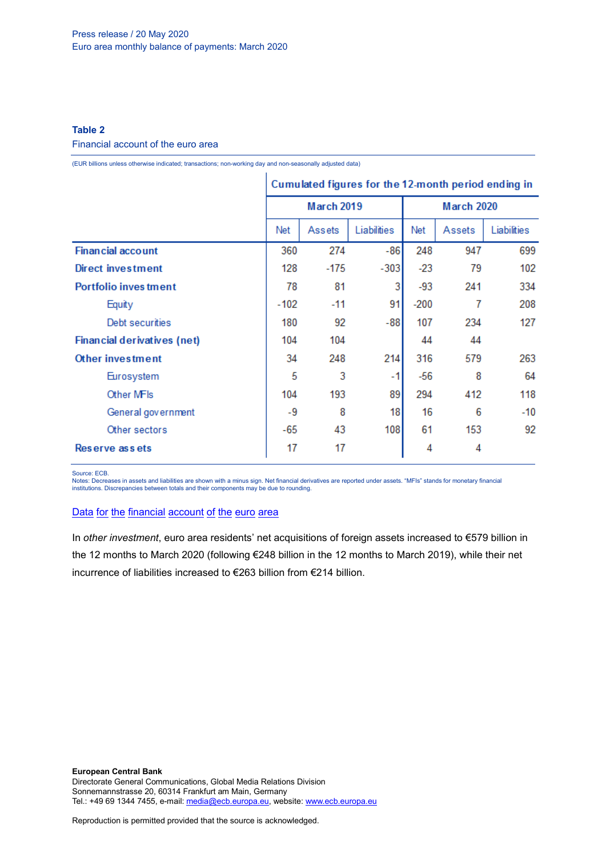## **Table 2**

#### Financial account of the euro area

(EUR billions unless otherwise indicated; transactions; non-working day and non-seasonally adjusted data)

|                              | Cumulated figures for the 12-month period ending in |            |             |                   |        |             |
|------------------------------|-----------------------------------------------------|------------|-------------|-------------------|--------|-------------|
|                              |                                                     | March 2019 |             | <b>March 2020</b> |        |             |
|                              | Net                                                 | Assets     | Liabilities | Net               | Assets | Liabilities |
| <b>Financial account</b>     | 360                                                 | 274        | $-86$       | 248               | 947    | 699         |
| Direct investment            | 128                                                 | $-175$     | $-303$      | $-23$             | 79     | 102         |
| <b>Portfolio inves tment</b> | 78                                                  | 81         | 3           | $-93$             | 241    | 334         |
| Equity                       | $-102$                                              | $-11$      | 91          | $-200$            | 7      | 208         |
| Debt securities              | 180                                                 | 92         | $-88$       | 107               | 234    | 127         |
| Financial derivatives (net)  | 104                                                 | 104        |             | 44                | 44     |             |
| Other investment             | 34                                                  | 248        | 214         | 316               | 579    | 263         |
| Eurosystem                   | 5                                                   | 3          | $-1$        | $-56$             | 8      | 64          |
| Other MFIs                   | 104                                                 | 193        | 89          | 294               | 412    | 118         |
| General government           | -9                                                  | 8          | 18          | 16                | 6      | $-10$       |
| Other sectors                | -65                                                 | 43         | 108         | 61                | 153    | 92          |
| Reserve assets               | 17                                                  | 17         |             | 4                 | 4      |             |

Source: ECB.

Notes: Decreases in assets and liabilities are shown with a minus sign. Net financial derivatives are reported under assets. "MFIs" stands for monetary financial institutions. Discrepancies between totals and their components may be due to rounding.

## Data for the [financial](http://sdw.ecb.europa.eu/browseSelection.do?df=true&ec=&dc=&oc=&pb=&rc=&DATASET=0&removeItem=&removedItemList=&mergeFilter=&activeTab=&showHide=&FREQ.243=M&REF_AREA.243=I8&REF_SECTOR.243=S1&REF_SECTOR.243=S121&REF_SECTOR.243=S12T&REF_SECTOR.243=S13&REF_SECTOR.243=S1P&COUNTERPART_SECTOR.243=S1&FLOW_STOCK_ENTRY.243=T&ACCOUNTING_ENTRY.243=A&ACCOUNTING_ENTRY.243=L&ACCOUNTING_ENTRY.243=N&FUNCTIONAL_CAT.243=D&FUNCTIONAL_CAT.243=O&FUNCTIONAL_CAT.243=P&FUNCTIONAL_CAT.243=R&INSTR_ASSET.243=F&INSTR_ASSET.243=F3&INSTR_ASSET.243=F5&INSTR_ASSET.243=FL&MATURITY.243=T&MATURITY.243=_Z&node=9688874&legendRef=reference&legendNor=) account of the euro area

In *other investment*, euro area residents' net acquisitions of foreign assets increased to €579 billion in the 12 months to March 2020 (following €248 billion in the 12 months to March 2019), while their net incurrence of liabilities increased to €263 billion from €214 billion.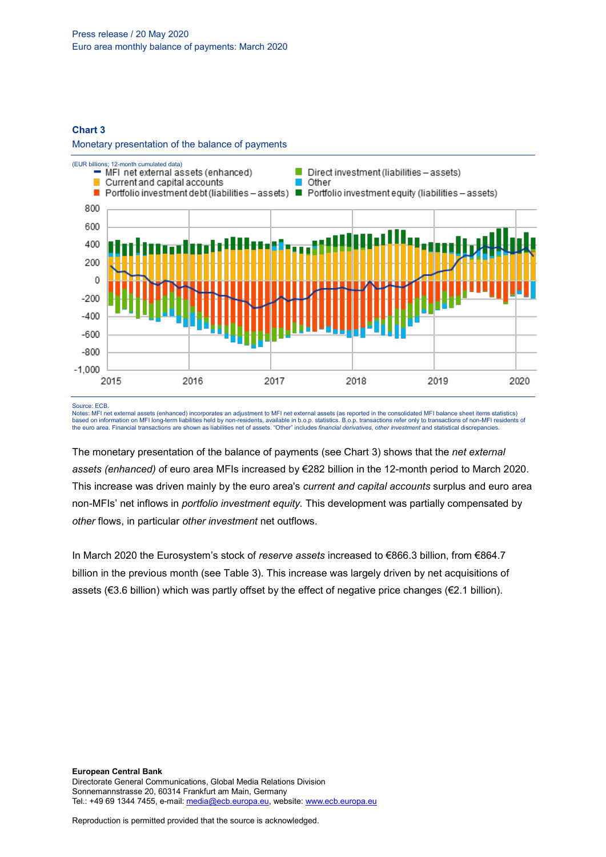### **Chart 3**

Monetary presentation of the balance of payments



Source: ECB.

Notes: MFI net external assets (enhanced) incorporates an adjustment to MFI net external assets (as reported in the consolidated MFI balance sheet items statistics)<br>based on information on MFI long-term liabilities held by the euro area. Financial transactions are shown as liabilities net of assets. "Other" includes *financial derivatives*, *other investment* and statistical discrepancies.

The monetary presentation of the balance of payments (see Chart 3) shows that the *net external assets (enhanced) o*f euro area MFIs increased by €282 billion in the 12-month period to March 2020. This increase was driven mainly by the euro area's *current and capital accounts* surplus and euro area non-MFIs' net inflows in *portfolio investment equity.* This development was partially compensated by *other* flows, in particular *other investment* net outflows.

In March 2020 the Eurosystem's stock of *reserve assets* increased to €866.3 billion, from €864.7 billion in the previous month (see Table 3). This increase was largely driven by net acquisitions of assets (€3.6 billion) which was partly offset by the effect of negative price changes (€2.1 billion).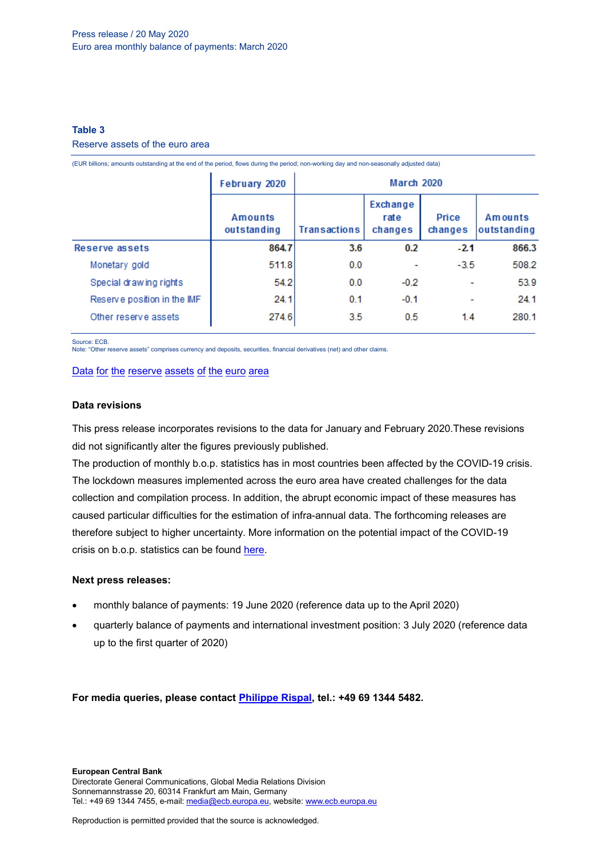### **Table 3**

#### Reserve assets of the euro area

|                             | February 2020          | March 2020          |                             |                          |                        |  |
|-----------------------------|------------------------|---------------------|-----------------------------|--------------------------|------------------------|--|
|                             | Amounts<br>outstanding | <b>Transactions</b> | Exchange<br>rate<br>changes | Price<br>changes         | Amounts<br>outstanding |  |
| Reserve assets              | 864.7                  | 3.6                 | 0.2                         | $-2.1$                   | 866.3                  |  |
| Monetary gold               | 511.8                  | 0.0                 |                             | $-3.5$                   | 508.2                  |  |
| Special drawing rights      | 54.2                   | 0.0                 | $-0.2$                      | ٠                        | 53.9                   |  |
| Reserve position in the IMF | 24.1                   | 0.1                 | $-0.1$                      | $\overline{\phantom{a}}$ | 24.1                   |  |
| Other reserve assets        | 274.6                  | 3.5                 | 0.5                         | 1.4                      | 280.1                  |  |

(EUR billions; amounts outstanding at the end of the period, flows during the period; non-working day and non-seasonally adjusted data)

Source: ECB.

Note: "Other reserve assets" comprises currency and deposits, securities, financial derivatives (net) and other claims.

#### Data for the [reserve](http://sdw.ecb.europa.eu/browseSelection.do?df=true&ec=1&dc=&oc=0&pb=1&rc=0&DATASET=243&DATASET=244&removeItem=&removedItemList=&mergeFilter=&activeTab=BP6&showHide=&FREQ.243=M&REF_AREA.243=I8&MATURITY.243=T&MATURITY.243=_Z&REF_AREA.244=U2&ACCOUNTING_ENTRY.244=A&INSTR_ASSET.244=F&INSTR_ASSET.244=F11&INSTR_ASSET.244=F12&INSTR_ASSET.244=FK&node=SEARCHRESULTS&q=reserve+assets&type=series&legendRef=reference&legendNor=) assets of the euro area

#### **Data revisions**

This press release incorporates revisions to the data for January and February 2020.These revisions did not significantly alter the figures previously published.

The production of monthly b.o.p. statistics has in most countries been affected by the COVID-19 crisis. The lockdown measures implemented across the euro area have created challenges for the data collection and compilation process. In addition, the abrupt economic impact of these measures has caused particular difficulties for the estimation of infra-annual data. The forthcoming releases are therefore subject to higher uncertainty. More information on the potential impact of the COVID-19 crisis on b.o.p. statistics can be found [here.](https://www.ecb.europa.eu/stats/balance_of_payments_and_external/balance_of_payments/shared/pdf/Impact_of_Covid-19_in_BoP.en.pdf)

### **Next press releases:**

- monthly balance of payments: 19 June 2020 (reference data up to the April 2020)
- quarterly balance of payments and international investment position: 3 July 2020 (reference data up to the first quarter of 2020)

**For media queries, please contact [Philippe Rispal,](mailto:philippe.rispal@ecb.europa.eu) tel.: +49 69 1344 5482.**

**European Central Bank** Directorate General Communications, Global Media Relations Division Sonnemannstrasse 20, 60314 Frankfurt am Main, Germany Tel.: +49 69 1344 7455, e-mail[: media@ecb.europa.eu,](mailto:media@ecb.europa.eu) website[: www.ecb.europa.eu](http://www.ecb.europa.eu/)